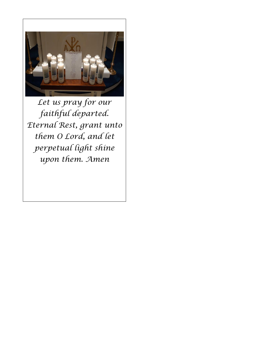

*Let us pray for our faithful departed. Eternal Rest, grant unto them O Lord, and let perpetual light shine upon them. Amen*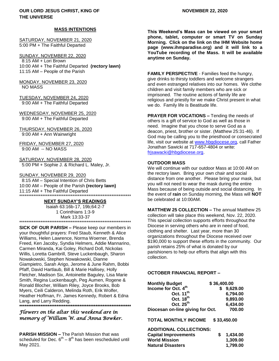## **MASS INTENTIONS**

SATURDAY, NOVEMBER 21, 2020 5:00 PM + The Faithful Departed

SUNDAY, NOVEMBER 22, 2020 8:15 AM + Lori Brown 10:00 AM + The Faithful Departed **(rectory lawn)** 11:15 AM – People of the Parish

MONDAY, NOVEMBER 23, 2020 NO MASS

TUESDAY, NOVEMBER 24, 2020 9:00 AM + The Faithful Departed

WEDNESDAY, NOVEMBER 25, 2020 9:00 AM + The Faithful Departed

THURSDAY, NOVEMBER 26, 2020 9:00 AM + Ann Wainwright

FRIDAY, NOVEMBER 27, 2020 9:00 AM -- NO MASS

SATURDAY, NOVEMBER 28, 2020 5:00 PM + Sophie J. & Richard L. Maley, Jr.

#### SUNDAY, NOVEMBER 29, 2020

 8:15 AM – Special Intention of Chris Betts 10:00 AM – People of the Parish **(rectory lawn)** 11:15 AM + The Faithful Departed \*\*\*\*\*\*\*\*\*\*\*\*\*\*\*\*\*\*\*\*\*\*\*\*\*\*\*\*\*\*\*\*\*\*\*\*\*\*\*\*\*\*\*\*\*\*\*\*\*\*\*\*\*\*\*\*\*\*\*\*\*\*\*

#### **NEXT SUNDAY'S READINGS**

Isaiah 63:16b-17, 19b;64:2-7 1 Corinthians 1:3-9 Mark 13:33-37 \*\*\*\*\*\*\*\*\*\*\*\*\*\*\*\*\*\*\*\*\*\*\*\*\*\*\*\*\*\*\*\*\*\*\*\*\*\*\*\*\*\*\*\*\*\*\*\*\*\*\*\*\*\*\*\*\*\*\*\*\*\*\*

**SICK OF OUR PARISH –** Please keep our members in your thoughtful prayers: Fred Staub, Kenneth & Alice Williams, Helen Lawrence, Norma Woerner, Brenda Freed, Ken Jacoby, Syndia Helmers, Addie Mannarino, Carmen Miranda, Kai Goley, Richard Doll, Nickolas Willis, Loretta Gambrill, Steve Luckenbaugh, Sharon Nowakowski, Stephen Nowakowski, Dianne Giampietro, Sarah Arigo, Jerome & June Rahm, Bobbi Pfaff, David Hartlaub, Bill & Marie Hallisey, Holly Fletcher, Madison Six, Antoinette Baguley, Lisa Marie Smith, Regina Luckenbaugh, Peg Aumen, Rogene & Ronald Blocher, William Riley, Joyce Brooks, Bob Myers, Ceili Calderon, Melinda Roth, Erik Wolfer, Heather Hoffman, Fr. James Kennedy, Robert & Edna Lang, and Larry Redding. **\*\*\*\*\*\*\*\*\*\*\*\*\*\*\*\*\*\*\*\*\*\*\*\*\*\*\*\*\*\*\*\*\*\*\*\*\*\*\*\*\*\*\*\*\*\*\*\*\*\*\*\*\*\*\*\*\*\*\*\*\*\*\***

# *Flowers on the altar this weekend are in memory of William W. and Anna Bowker.*

**PARISH MISSION –** The Parish Mission that was scheduled for Dec.  $6^{th} - 8^{th}$  has been rescheduled until May 2021.

**This Weekend's Mass can be viewed on your smart phone, tablet, computer or smart TV on Sunday Morning. Click on the link on the IHM Website home page (www.ihmparadise.org) and it will link to a YouTube recording of the Mass. It will be available anytime on Sunday.**

**FAMILY PERSPECTIVE** - Families feed the hungry, give drinks to thirsty toddlers and welcome strangers and even estranged relatives into our homes. We clothe children and visit family members who are sick or imprisoned. The routine actions of family life are religious and priestly for we make Christ present in what we do. Family life is Beatitude life.

**PRAYER FOR VOCATIONS –** Tending the needs of others is a gift of service to God as well as those in need. Imagine that you chose to serve God as a deacon, priest, brother or sister. (Matthew 25:31-46). If God may be calling you to the priesthood or consecrated life, visit our website at [www.hbgdiocese.org,](http://www.hbgdiocese.org/) call Father Jonathan Sawicki at 717-657-4804 or write: [frjsawacki@hbgdiocese.org.](mailto:frjsawacki@hbgdiocese.org)

## **OUTDOOR MASS**

We will continue with our outdoor Mass at 10:00 AM on the rectory lawn. Bring your own chair and social distance from one another. Please bring your mask, but you will not need to wear the mask during the entire Mass because of being outside and social distancing. In the event of **rain** on Sunday morning, the Mass will **NOT** be celebrated at 10:00AM.

**MATTHEW 25 COLLECTION –** The annual Matthew 25 collection will take place this weekend, Nov. 22, 2020. This special collection supports efforts throughout the Diocese in serving others who are in need of food, clothing and shelter. Last year, more than 30 organizations throughout the Diocese received over \$190,000 to support these efforts in the community. Our parish retains 25% of what is donated by our parishioners to help our efforts that align with this collection.

## **OCTOBER FINANCIAL REPORT –**

| <b>Monthly Budget</b>            | \$36,400.00 |  |
|----------------------------------|-------------|--|
| Income for Oct. 4 <sup>th</sup>  | \$9,629.00  |  |
| Oct. 11 <sup>th</sup>            | 6,794.00    |  |
| Oct. 18 <sup>th</sup>            | 9,893.00    |  |
| Oct. $25^{th}$                   | 6,434.00    |  |
| Diocesan on-line giving for Oct. | 700.00      |  |

**TOTAL MONTHLY INCOME \$ 33,450.00**

# **ADDITIONAL COLLECTIONS:**

| <b>Capital Improvements</b> | 1.434.00 |
|-----------------------------|----------|
| <b>World Mission</b>        | 1.309.00 |
| <b>Natural Disasters</b>    | 1.799.00 |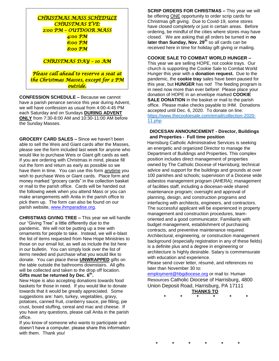| CHRISTMAS MASS SCHEDULE                |
|----------------------------------------|
| <b>CHRISTMAS EVE:</b>                  |
| 2:00 PM - OUTDOOR MASS                 |
| 4:00 PM                                |
| 6:00 РМ                                |
| 8:00 PM                                |
|                                        |
| CHRISTMAS DAY - 10 AM                  |
|                                        |
| Please call ahead to reserve a seat at |
| the Christmas Masses, except for 2 PM  |
| outsíde.                               |

**CONFESSION SCHEDULE –** Because we cannot have a parish penance service this year during Advent, we will have confession as usual from 4:00-4:45 PM each Saturday and on Sundays **DURING ADVENT ONLY** from 7:30-8:00 AM and 10:30-11:00 AM before the Sunday Masses.

**GROCERY CARD SALES –** Since we haven't been able to sell the Weis and Giant cards after the Masses, please see the form included last week for anyone who would like to purchase Weis or Giant gift cards as well. If you are ordering with Christmas in mind, please fill out the form and return as early as possible so we have them in time. You can use this form anytime you wish to purchase Weis or Giant cards. Place form and money marked "grocery cards" in the collection basket or mail to the parish office. Cards will be handed out the following week when you attend Mass or you can make arrangements with Anita in the parish office to pick them up. The form can also be found on our parish website, [www.ihmparadise.org.](http://www.ihmparadise.org/)

**CHRISTMAS GIVING TREE –** This year we will handle our "Giving Tree" a little differently due to the pandemic. We will not be putting up a tree with ornaments for people to take. Instead, we will e-blast the list of items requested from New Hope Ministries to those on our email list, as well as include the list here in our bulletin. You can simply look over the list of items needed and purchase what you would like to donate. You can place these **UNWRAPPED** gifts on the table outside the bathrooms downstairs. All gifts will be collected and taken to the drop off location. **Gifts must be returned by Dec. 6th .**

New Hope is also accepting donations towards food baskets for those in need. If you would like to donate towards that it would be greatly appreciated. Some suggestions are: ham, turkey, vegetables, gravy, potatoes, canned fruit, cranberry sauce, pie filling, pie crust, boxed stuffing, cereal and mac and cheese. If you have any questions, please call Anita in the parish office.

If you know of someone who wants to participate and doesn't have a computer, please share this information with them. Thank you!

**SCRIP ORDERS FOR CHRISTMAS –** This year we will be offering ONE opportunity to order scrip cards for Christmas gift giving. Due to Covid-19, some stores have closed completely or just in certain areas. Before ordering, be mindful of the cities where stores may have closed. We are asking that all orders be turned in **no later than Sunday, Nov. 29th** so all cards can be received here in time for holiday gift giving or mailing.

## **COOKIE SALE TO COMBAT WORLD HUNGER –**

This year we are selling HOPE, not cookie trays. Our church is supporting the Cookie Sale to Combat World Hunger this year with a **donation request.** Due to the pandemic, the **cookie tray** sales have been paused for this year, but **HUNGER** has not! The feeding program is in need now more than ever before! Please place your donation of HOPE in an envelope marked **COOKIE SALE DONATION** in the basket or mail to the parish office. Please make checks payable to IHM. Donations accepted until Dec. 6, 2020. To donate on line: [https://www.thecookiesale.com/email/collection-2020-](https://www.thecookiesale.com/email/collection-2020-11.php) [11.php](https://www.thecookiesale.com/email/collection-2020-11.php)

## **DIOCESAN ANNOUNCEMENT - Director, Buildings and Properties - Full time position**

Harrisburg Catholic Administrative Services is seeking an energetic and organized Director to manage the Department of Buildings and Properties. This complex position includes direct management of properties owned by The Catholic Diocese of Harrisburg; technical advice and support for the buildings and grounds at over 100 parishes and schools; supervision of a Diocese wide asbestos management program (AHERA); management of facilities staff, including a diocesan-wide shared maintenance program; oversight and approval of planning, design, and construction programs and interfacing with architects, engineers, and contractors. The successful applicant will be experienced in property management and construction procedures, teamoriented and a good communicator. Familiarity with budget management, establishment of purchasing contracts, and preventive maintenance required. Architectural, engineering, or construction management background (especially registration in any of these fields) is a definite plus and a degree in engineering or architecture is highly desirable. Salary is commensurate with education and experience.

Please send cover letter, résumé, and references no later than November 30 to:

employment@hbgdiocese.org or mail to: Human Resources Catholic Diocese of Harrisburg, 4800 Union Deposit Road, Harrisburg, PA 17111 **THANKS TO**

**\* \* \* \* \* \***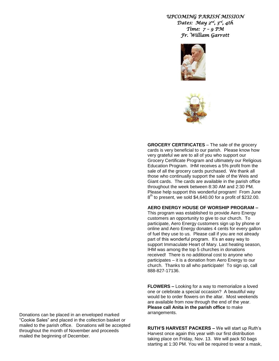# *UPCOMING PARISH MISSION Dates: May 2nd, 3rd, 4th Time: 7 – 9 PM Fr. William Garrott*





**GROCERY CERTIFICATES** – The sale of the grocery cards is very beneficial to our parish. Please know how very grateful we are to all of you who support our Grocery Certificate Program and ultimately our Religious Education Program. IHM receives a 5% profit from the sale of all the grocery cards purchased. We thank all those who continually support the sale of the Weis and Giant cards. The cards are available in the parish office throughout the week between 8:30 AM and 2:30 PM. Please help support this wonderful program! From June 8<sup>th</sup> to present, we sold \$4,640.00 for a profit of \$232.00.

## **AERO ENERGY HOUSE OF WORSHIP PROGRAM –**

This program was established to provide Aero Energy customers an opportunity to give to our church. To participate, Aero Energy customers sign up by phone or online and Aero Energy donates 4 cents for every gallon of fuel they use to us. Please call if you are not already part of this wonderful program. It's an easy way to support Immaculate Heart of Mary. Last heating season, IHM was among the top 5 churches in donations received! There is no additional cost to anyone who participates – it is a donation from Aero Energy to our church. Thanks to all who participate! To sign up, call 888-827-17136.

**FLOWERS –** Looking for a way to memorialize a loved one or celebrate a special occasion? A beautiful way would be to order flowers on the altar. Most weekends are available from now through the end of the year. **Please call Anita in the parish office** to make arrangements.

**RUTH'S HARVEST PACKERS –** We will start up Ruth's Harvest once again this year with our first distribution taking place on Friday, Nov. 13. We will pack 50 bags starting at 1:30 PM. You will be required to wear a mask,

Donations can be placed in an enveloped marked "Cookie Sales" and placed in the collection basket or mailed to the parish office. Donations will be accepted throughout the month of November and proceeds mailed the beginning of December.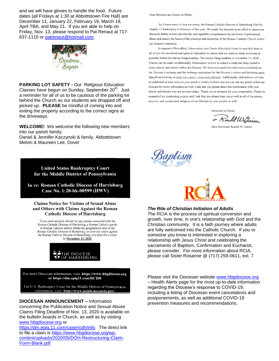and we will have gloves to handle the food. Future dates (all Fridays at 1:30 at Abbottstown Fire Hall) are December 11, January 22, February 19, March 19, April TBA, and May 21. If you are able to help on Friday, Nov. 13, please respond to Pat Renaut at 717- 637-1110 or [patrenaut@hotmail.com.](mailto:patrenaut@hotmail.com)



**PARKING LOT SAFETY -** Our Religious Education Classes have begun on Sunday, September 20<sup>th</sup>. Just a reminder for all of us to be cautious of the parking lot behind the Church as our students are dropped off and picked up. **PLEASE** be mindful of coming into and exiting the property according to the correct signs at the driveways.

**WELCOME!** We welcome the following new members into our parish family:

Daniel & Jennifer Kaczynski & family, Abbottstown Melvin & Maureen Lee, Dover

> **United States Bankruptcy Court** for the Middle District of Pennsylvania

In re: Roman Catholic Diocese of Harrisburg Case No. 1:20-bk-00599 (HWV)

**Claims Notice for Victims of Sexual Abuse** and Others with Claims Against the Roman **Catholic Diocese of Harrisburg** 

If you were sexually abused by any person connected with the Roman Catholic Diocese of Harrisburg, a Roman Catholic parish or Roman Catholic school within the geographical area of the Roman Catholic Diocese of Harrisburg, or have any claim against the Roman Catholic Diocese of Harrisburg, you must file a claim by November 13, 2020.



For more Diocesan information, visit: https://www.hbgdiocese.org or https://dm.epiq11.com/RCDH

For U.S. Bankruptcy Court for the Middle District of Pennsylvania information, visit: http://www.pamb.uscourts.gov.

**DIOCESAN ANNOUNCEMENT –** Information concerning the Publication Notice and Sexual Abuse

Claims Filing Deadline of Nov. 13, 2020 is available on the bulletin boards in Church, as well as by visiting [www.hbgdiocese.org](http://www.hbgdiocese.org/) or

[https://dm.epiq.11.com/case/rcdh/info.](https://dm.epiq.11.com/case/rcdh/info) The direct link to file a claim is [https://www.hbgdiocese.org/wp](https://www.hbgdiocese.org/wp-content/uploads/2020/05/DOH-Restructuring-Claim-Form-Blank.pdf)[content/uploads/2020/05/DOH-Restructuring-Claim-](https://www.hbgdiocese.org/wp-content/uploads/2020/05/DOH-Restructuring-Claim-Form-Blank.pdf)[Form-Blank.pdf](https://www.hbgdiocese.org/wp-content/uploads/2020/05/DOH-Restructuring-Claim-Form-Blank.pdf)

Dear Brothers and Sisters in Christ:

As I know many of you are aware, the Roman Catholic Diocese of Harrisburg filed for chapter 11 bankruptcy in February of this year. We made this decision in an effort to ensure our financial ability to both provide fair and equitable compensation for survivors of past sexual abuse and ensure the future of the missions and ministries of the Roman Catholic Church within our Diocese's territory.

In support of this effort, I have asked your Pastor (Parochial Vicar) to read this letter to all of you this weekend and again in September to ensure that we reach as many survivors as possible before the claims filing deadline. The claims filing deadline is November 13, 2020. Claims can be made confidentially. Information on how to submit a claim has been posted at every church and school within the Diocese. We have also made this information available on the Diocese's webpage and the webpage maintained by the Diocese's claims and balloting agent, Epiq Restructuring, at https://dm.epiq11.com/case/rcdh/info. Additionally, information will also be published at least twice in your parish's weekly bulletin and you can ask any priest within our Diocese for more information as well. I ask that you please share this information with your family and friends who are not here today. Thank you in advance for your cooperation. Please be assured of my continuing prayers and I ask that you please keep me as well as all of the priests, deacons, and consecrated religious of our Diocese in your prayers as well.

Sincerely in Christ,

+ Rould William

Most Reverend Ronald W. Gainer





## *The Rite of Christian Initiation of Adults*

*T*he RCIA is the process of spiritual conversion and growth, over time, in one's relationship with God and the Christian community. It is a faith journey where adults are fully welcomed into the Catholic Church. If you or someone you know is interested in exploring a relationship with Jesus Christ and celebrating the sacraments of Baptism, Confirmation and Eucharist, please consider. For more information about RCIA, please call Sister Rosanne @ (717) 259-0611, ext. 7

Please visit the Diocesan website [www.hbgdiocese.org](http://www.hbgdiocese.org/) – Health Alerts page for the most up-to-date information regarding the Diocese's response to COVID-19, including a listing of Diocesan event cancelations and postponements, as well as additional COVID-19 prevention measures and recommendations.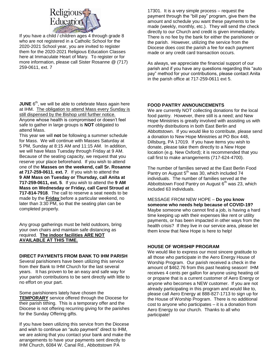

If you have a child / children ages 4 through grade 8 who are not registered in a Catholic School for the 2020-2021 School year, you are invited to register them for the 2020-2021 Religious Education Classes here at Immaculate Heart of Mary. To register or for more information, please call Sister Rosanne @ (717) 259-0611, ext. 7

**JUNE** 6<sup>th</sup>, we will be able to celebrate Mass again here at IHM. The obligation to attend Mass every Sunday is still dispensed by the Bishop until further notice. Anyone whose health is compromised or doesn't feel safe to gather in large groups is **NOT** obligated to attend Mass.

This year we will **not** be following a summer schedule for Mass. We will continue with Masses Saturday at 5 PM, Sunday at 8:15 AM and 11:15 AM. In addition, we will have Mass Tuesday through Friday at 9 AM. Because of the seating capacity, we request that you reserve your place beforehand. If you wish to attend one of the **Masses on the weekend, call Sr. Rosanne at 717-259-0611**, **ext. 7**. If you wish to attend the **9 AM Mass on Tuesday or Thursday, call Anita at 717-259-0611, ext. 5**. If you wish to attend the **9 AM Mass on Wednesday or Friday, call Carol Stroud at 717-814-7918**. The call to reserve a seat needs to be made by the **Friday** before a particular weekend, no later than 3:30 PM, so that the seating plan can be completed properly.

Any group gatherings must be held outdoors, bring your own chairs and maintain safe distancing as required. **The indoor facilities ARE NOT AVAILABLE AT THIS TIME.**

## **DIRECT PAYMENTS FROM BANK TO IHM PARISH**

Several parishioners have been utilizing this service from their Bank to IHM Church for the last several years. It has proven to be an easy and safe way for your parish contributions to be sent directly with little to no effort on your part.

Some parishioners lately have chosen the **TEMPORARY** service offered through the Diocese for their parish tithing. This is a temporary offer and the Diocese is not offering recurring giving for the parishes for the Sunday Offering gifts.

If you have been utilizing this service from the Diocese and wish to continue an "auto payment" direct to IHM, we are asking that you contact your bank and make the arrangements to have your payments sent directly to IHM Church, 6084 W. Canal Rd., Abbottstown PA

17301. It is a very simple process – request the payment through the "bill pay" program, give them the amount and schedule you want these payments to be made (weekly, monthly, etc.). They will send the check directly to our Church and credit is given immediately. There is no fee by the bank for either the parishioner or the parish. However, utilizing the service from the Diocese does cost the parish a fee for each payment made or any credit card transaction occurs.

As always, we appreciate the financial support of our parish and if you have any questions regarding this "auto pay" method for your contributions, please contact Anita in the parish office at 717-259-0611 ext 5.

# **FOOD PANTRY ANNOUNCEMENTS**

We are currently NOT collecting donations for the local food pantry. However, there still is a need; and New Hope Ministries is greatly involved with assisting us with monthly distributions in both East Berlin and Abbottstown. If you would like to contribute, please send a donation to New Hope Ministries at PO Box 448, Dillsburg, PA 17019. If you have items you wish to donate, please take them directly to a New Hope location (e.g. New Oxford); it is recommended that you call first to make arrangements (717-624-4700).

The number of families served at the East Berlin Food Pantry on August 5<sup>th</sup> was 30, which included 74 individuals. The number of families served at the Abbottstown Food Pantry on August  $6<sup>th</sup>$  was 23, which included 63 individuals.

## MESSAGE FROM NEW HOPE – **Do you know someone who needs help because of COVID-19?**  Maybe someone who cannot find a job, is having a hard time keeping up with their expenses like rent or utility payments, or has been impacted in other ways from the health crisis? If they live in our service area, please let them know that New Hope is here to help!

# **HOUSE OF WORSHIP PROGRAM**

We would like to express our most sincere gratitude to all those who participate in the Aero Energy House of Worship Program. Our parish received a check in the amount of \$462.76 from this past heating season! IHM receives 4 cents per gallon for anyone using heating oil or propane that is a current customer of Aero Energy or anyone who becomes a NEW customer. If you are not already participating in this program and would like to, please call Aero Energy at 888-827-1713 to sign up for the House of Worship Program. There is no additional cost to anyone who participates – it is a donation from Aero Energy to our church. Thanks to all who participate!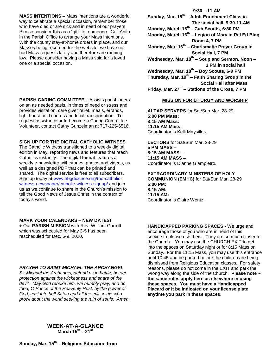**MASS INTENTIONS –** Mass intentions are a wonderful way to celebrate a special occasion, remember those who have died or are sick and in need of our prayers. Please consider this as a "gift" for someone. Call Anita in the Parish Office to arrange your Mass intentions. With the county stay-at-home orders in place, and our Masses being recorded for the website, we have not had Mass requests lately and therefore are running low. Please consider having a Mass said for a loved one or a special occasion.

**PARISH CARING COMMITTEE –** Assists parishioners on an as needed basis, in times of need or stress and provides visitation, care giver relief, meals, errands, light household chores and local transportation. To request assistance or to become a Caring Committee Volunteer, contact Cathy Gunzelman at 717-225-6516.

#### **SIGN UP FOR THE DIGITAL CATHOLIC WITNESS**

The Catholic Witness transitioned to a weekly digital edition in May, reporting news and features that reach Catholics instantly. The digital format features a weekly e-newsletter with stories, photos and videos, as well as a designed PDF that can be printed and shared. The digital service is free to all subscribers. Sign up today at [www.hbgdiocese.org/the-catholic](http://www.hbgdiocese.org/the-catholic-witness-newspaper/catholic-witness-signup/)[witness-newspaper/catholic-witness-signup/](http://www.hbgdiocese.org/the-catholic-witness-newspaper/catholic-witness-signup/) and join us as we continue to share in the Church's mission to tell the Good News of Jesus Christ in the context of today's world.

## **MARK YOUR CALENDARS – NEW DATES!**

+ Our **PARISH MISSION** with Rev. William Garrott which was scheduled for May 3-5 has been rescheduled for Dec. 6-9, 2020.

#### *PRAYER TO SAINT MICHAEL THE ARCHANGEL*

*St. Michael the Archangel, defend us in battle, be our protection against the wickedness and snare of the devil. May God rebuke him, we humbly pray, and do thou, O Prince of the Heavenly Host, by the power of God, cast into hell Satan and all the evil spirits who prowl about the world seeking the ruin of souls. Amen.*

# **9:30 – 11 AM Sunday, Mar. 15th – Adult Enrichment Class in The social hall, 9:30-11 AM Monday, March 16th – Cub Scouts, 6:30 PM Monday, March 16th – Legion of Mary in Rel Ed Bldg Room 4, 7 PM Monday, Mar. 16th – Charismatic Prayer Group in Social Hall, 7 PM Wednesday, Mar. 18th – Soup and Sermon, Noon – 1 PM in social hall Wednesday, Mar. 18th – Boy Scouts, 6-9 PM Thursday, Mar. 19th – Faith Sharing Group in the**

 **Social Hall after Mass Friday, Mar. 27th – Stations of the Cross, 7 PM**

### **MISSION FOR LITURGY AND WORSHIP**

**ALTAR SERVERS** for Sat/Sun Mar. 28-29 **5:00 PM Mass: 8:15 AM Mass: 11:15 AM Mass:** Coordinator is Kelli Maysilles.

**LECTORS** for Sat/Sun Mar. 28-29 **5 PM MASS – 8:15 AM MASS – 11:15 AM MASS –** Coordinator is Dianne Giampietro.

**EXTRAORDINARY MINISTERS OF HOLY COMMUNION (EMHC)** for Sat/Sun Mar. 28-29 **5:00 PM: 8:15 AM: 11:15 AM:**  Coordinator is Claire Wentz.

**HANDICAPPED PARKING SPACES -** We urge and encourage those of you who are in need of this service to please use them. They are so much closer to the Church. You may use the CHURCH EXIT to get into the spaces on Saturday night or for 8:15 Mass on Sunday. For the 11:15 Mass, you may use this entrance until 10:45 and be parked before the children are being dismissed from Religious Education classes. For safety reasons, please do not come in the EXIT and park the wrong way along the side of the Church. **Please note ~ the same rules apply here as elsewhere in using these spaces. You must have a Handicapped Placard or it be indicated on your license plate anytime you park in these spaces.**

# **WEEK-AT-A-GLANCE March 15th – 21st**

**Sunday, Mar. 15th – Religious Education from**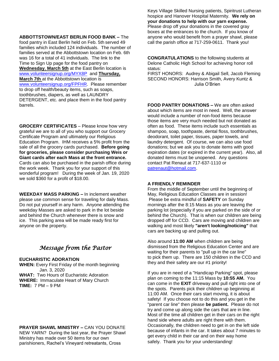**ABBOTTSTOWN/EAST BERLIN FOOD BANK –** The food pantry in East Berlin held on Feb. 5th served 49 families which included 124 individuals. The number of families served at the Abbottstown location on Feb. 6th was 16 for a total of 41 individuals. The link to the Time to Sign Up page for the food pantry on **Wednesday**, **March 5th** at the East Berlin location is [www.volunteersignup.org/MYX8P](http://www.volunteersignup.org/MYX8P) and **Thursday, March 7th** at the Abbottstown location is [www.volunteersignup.org/FPFHR.](http://www.volunteersignup.org/FPFHR) Please remember to drop off health/beauty items, such as soaps, toothbrushes, diapers, as well as LAUNDRY DETERGENT, etc. and place them in the food pantry barrels.

**GROCERY CERTIFICATES** – Please know how very grateful we are to all of you who support our Grocery Certificate Program and ultimately our Religious Education Program. IHM receives a 5% profit from the sale of all the grocery cards purchased. **Before going for groceries, please consider purchasing Weis or Giant cards after each Mass at the front entrance.** Cards can also be purchased in the parish office during the work week. Thank you for your support of this wonderful program! During the week of Jan. 19, 2020 we sold \$360 for a profit of \$18.00.

**WEEKDAY MASS PARKING –** In inclement weather please use common sense for traveling for daily Mass. Do not put yourself in any harm. Anyone attending the weekday Masses are asked to park in the lot beside and behind the Church whenever there is snow and ice. This parking area will be made ready first for anyone on the property.

# *Message from the Pastor*

# **EUCHARISTIC ADORATION**

**WHEN:** Every First Friday of the month beginning Jan. 3, 2020 **WHAT:** Two Hours of Eucharistic Adoration **WHERE:** Immaculate Heart of Mary Church **TIME:** 7 PM – 9 PM

#### **PRAYER SHAWL MINISTRY –** CAN YOU DONATE

NEW YARN? During the last year, the Prayer Shawl Ministry has made over 50 items for our own parishioners, Rachel's Vineyard retreatants, Cross

Keys Village Skilled Nursing patients, Spiritrust Lutheran hospice and Hanover Hospital Maternity. **We rely on your donations to help with our yarn expense.**  Please drop off your donations in the covered gray boxes at the entrances to the church. If you know of anyone who would benefit from a prayer shawl, please call the parish office at 717-259-0611. Thank you!

**CONGRATULATIONS** to the following students at Delone Catholic High School for achieving honor roll status:

FIRST HONORS: Audrey & Abigail Sell, Jacob Fleming SECOND HONORS: Harrison Smith, Avery Kuntz & Julia O'Brien

**FOOD PANTRY DONATIONS –** We are often asked about which items are most in need. Well, the answer would include a number of non-food items because those items are very much needed but not donated as often as food. These items include such essentials as shampoo, soap, toothpaste, dental floss, toothbrushes, deodorant, toilet paper, tissues, paper towels, and laundry detergent. Of course, we can also use food donations; but we ask you to donate items with good expiration dates (or expired in the current year). Also, all donated items must be unopened. Any questions contact Pat Renaut at 717-637-1110 or [patrenaut@hotmail.com.](mailto:patrenaut@hotmail.com)

#### **A FRIENDLY REMINDER**

From the middle of September until the beginning of May, Religious Education Classes are in session! Please be extra mindful of **SAFETY** on Sunday mornings after the 8:15 Mass as you are leaving the parking lot (especially if you are parked on the side of or behind the Church). That is when our children are being dropped off for CCD. Cars are moving and children are walking and most likely **"aren't looking/noticing"** that cars are backing up and pulling out.

Also around **11:00 AM** when children are being dismissed from the Religious Education Center and are waiting for their parents to "pull up in the car line" to pick them up. There are 150 children in the CCD and they and their safety are our #1 priority!

If you are in need of a "Handicap Parking" spot, please plan on coming to the 11:15 Mass by **10:55 AM.** You can come in the **EXIT** driveway and pull right into one of the spots. Parents pick their children up beginning at 11:00 AM. Once their cars start moving, it is about safety! If you choose not to do this and you get in the "parent car line" then please **be patient.** Please do not try and come up along side the cars that are in line. Most of the time all children get in their cars on the right hand side where adults are right there with them. Occasionally, the children need to get in on the left side because of infants in the car. It takes about 7 minutes to get every child in their car and on their way home safely. Thank you for your understanding!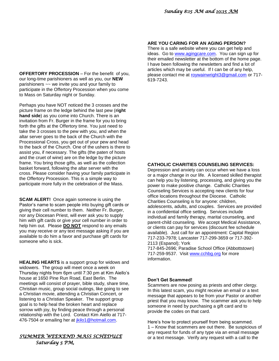**OFFERTORY PROCESSION** – For the benefit of you, our long-time parishioners as well as you, our **NEW**  parishioners ~~ we invite you and your family to participate in the Offertory Procession when you come to Mass on Saturday night or Sunday.

Perhaps you have NOT noticed the 3 crosses and the picture frame on the ledge behind the last pew (**right hand side**) as you come into Church. There is an invitation from Fr. Burger in the frame for you to bring forth the gifts at the Offertory time. You just need to take the 3 crosses to the pew with you, and when the altar server goes to the back of the Church with the Processional Cross, you get out of your pew and head to the back of the Church. One of the ushers is there to assist you, if necessary. The gifts (the paten of hosts and the cruet of wine) are on the ledge by the picture frame. You bring those gifts, as well as the collection basket forward, following the altar server with the cross. Please consider having your family participate in the Offertory Procession. This is a simple way to participate more fully in the celebration of the Mass.

**SCAM ALERT!** Once again someone is using the Pastor's name to scam people into buying gift cards or giving their cell number to them. Neither Fr. Burger, nor any Diocesan Priest, will ever ask you to supply him with gift cards or give your cell number in order to help him out. Please **DO NOT** respond to any emails you may receive or any text message asking if you are available to do him a favor and purchase gift cards for someone who is sick.

**HEALING HEARTS** is a support group for widows and widowers. The group will meet once a week on Thursday nights from 6pm until 7:30 pm at Kim Aiello's house at 1650 Pine Run Road, East Berlin. The meetings will consist of prayer, bible study, share time, Christian music, group social outings, like going to see a Christian movie, attending a Christian Concert, or listening to a Christian Speaker. The support group goal is to help heal the broken heart and replace sorrow with joy, by finding peace through a personal relationship with the Lord. Contact Kim Aiello at 717- 476-7504 or emailing her at *jkilo1@hotmail.com.* 

# *SUMMER WEEKEND MASS SCHEDULE Saturday 5 PM,*

# **ARE YOU CARING FOR AN AGING PERSON?**

There is a safe website where you can get help and ideas. Go to [www.agingcare.com.](http://www.agingcare.com/) You can sign up for their emailed newsletter at the bottom of the home page. I have been following the newsletters and find a lot of articles which may be useful. If I can be of any help, please contact me at [roywainwright3@gmail.com](mailto:roywainwright3@gmail.com) or 717-619-7243.

# **CATHOLIC CHARITIES COUNSELING SERVICES:**

Depression and anxiety can occur when we have a loss or a major change in our life. A licensed skilled therapist can help you by listening, processing, and giving you the power to make positive change. Catholic Charities Counseling Services is accepting new clients for four office locations throughout the Diocese. Catholic Charities Counseling is for anyone: children, adolescents, adults, and couples. Services are provided in a confidential office setting. Services include individual and family therapy, marital counseling, and parent-child counseling. We accept Medical Assistance, or clients can pay for services (discount fee schedule available). Just call for an appointment: Capital Region 717-233-7978; Lancaster 717-299-3659 or 717-392- 2113 (Espanol); York 717-845-2696; Paradise School Office (Abbottstown)

717-259-9537. Visit [www.cchbg.org](http://www.cchbg.org/) for more information.

## **Don't Get Scammed!**

Scammers are now posing as priests and other clergy. In this latest scam, you might receive an email or a text message that appears to be from your Pastor or another priest that you may know. The scammer ask you to help someone in need by purchasing a gift card and to provide the codes on that card.

Here's how to protect yourself from being scammed. 1 – Know that scammers are out there. Be suspicious of any request for funds of any type via an email message or a text message. Verify any request with a call to the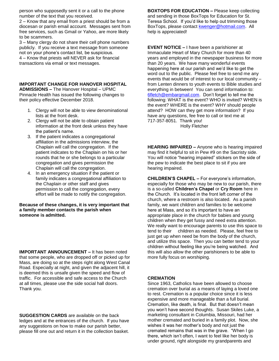person who supposedly sent it or a call to the phone number of the text that you received.

2 – Know that any email from a priest should be from a diocesan or parish email account. Messages sent from free services, such as Gmail or Yahoo, are more likely to be scammers.

3 – Many clergy do not share their cell phone numbers publicly. If you receive a text message from someone not on your phone's contact list, be suspicious. 4 – Know that priests will NEVER ask for financial transactions via email or text messages.

# **IMPORTANT CHANGE FOR HANOVER HOSPITAL**

**ADMISSIONS –** The Hanover Hospital – UPMC Pinnacle Health has issued the following changes to their policy effective December 2018.

- 1. Clergy will not be able to view denominational lists at the front desk.
- 2. Clergy will not be able to obtain patient information at the front desk unless they have the patient's name.
- 3. If the patient indicates a congregational affiliation in the admissions interview, the Chaplain will call the congregation. If the patient indicates to the Chaplain on his or her rounds that he or she belongs to a particular congregation and gives permission the Chaplain will call the congregation.
- 4. In an emergency situation if the patient or family indicates a congregational affiliation to the Chaplain or other staff and gives permission to call the congregation, every effort will be made to notify the congregation.

#### **Because of these changes, it is very important that a family member contacts the parish when someone is admitted.**

**IMPORTANT ANNOUNCEMENT –** It has been noted that some people, who are dropped off or picked up for Mass, are doing so at the steps right along West Canal Road. Especially at night, and given the adjacent hill, it is deemed this is unsafe given the speed and flow of traffic. For accessible and safe access to the Church at all times, please use the side social hall doors. Thank you.

**SUGGESTION CARDS** are available on the back ledges and at the entrances of the church. If you have any suggestions on how to make our parish better, please fill one out and return it in the collection basket. **BOXTOPS FOR EDUCATION –** Please keep collecting and sending in those BoxTops for Education for St. Teresa School. If you'd like to help out trimming those BoxTops, please contact [kwenger@hotmail.com.](mailto:kwenger@hotmail.com) All help is appreciated!

**EVENT NOTICE –** I have been a parishioner at Immaculate Heart of Mary Church for more than 40 years and employed in the newspaper business for more than 20 years. We have many wonderful events happening here at our parish and we'd like to get the word out to the public. Please feel free to send me any events that would be of interest to our local community – from Lenten dinners to youth events to Bible studies and everything in between! You can send information to: [6fletch@embarqmail.com.](mailto:6fletch@embarqmail.com) Don't forget to tell me the following: WHAT is the event? WHO is invited? WHEN is the event? WHERE is the event? WHY should people attend? HOW can they get more information? If you have any questions, fee free to call or text me at 717-357-8051. Thank you! Holly Fletcher

**HEARING IMPAIRED –** Anyone who is hearing impaired may find it helpful to sit in Pew #9 on the Sacristy side. You will notice "hearing impaired" stickers on the side of the pew to indicate the best place to sit if you are hearing impaired.

**CHILDREN'S CHAPEL –** For everyone's information, especially for those who may be new to our parish, there is a so-called **Children's Chapel** or **Cry Room** here in the Church. It's located in the front left corner of the church, where a restroom is also located. As a parish family, we want children and families to be welcome here at Mass, and so it's important to have an appropriate place in the church for babies and young children when they get fussy and need extra attention. We really want to encourage parents to use this space to tend to their children as needed. Please, feel free to just get up when need be from the body of the church, and utilize this space. Then you can better tend to your children without feeling like you're being watched. And this will also allow the other parishioners to be able to more fully focus on worshiping.

## **CREMATION**

Since 1963, Catholics have been allowed to choose cremation over burial as a means of laying a loved one to rest. Cremation is a popular choice since it is less expensive and more manageable than a full burial. Cremation, like death, is final. But that doesn't mean you won't have second thoughts. Susan Skiles Luke, a marketing consultant in Columbia, Missouri, had her mother cremated and buried in a family plot. Now, she wishes it was her mother's body and not just the cremated remains that was in the grave. "When I go there, which isn't often, I want to feel like her body is under ground, right alongside my grandparents and